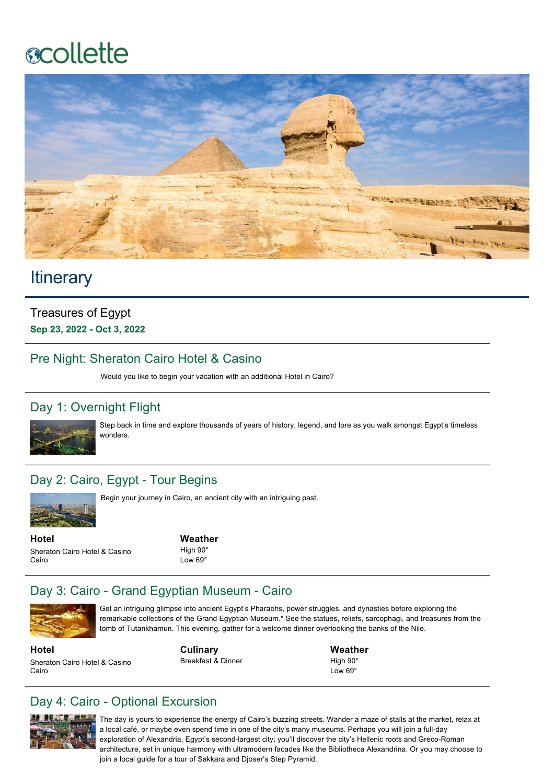# **ecollette**



# **Itinerary**

Treasures of Egypt **Sep 23, 2022 Oct 3, 2022**

#### Pre Night: Sheraton Cairo Hotel & Casino

Would you like to begin your vacation with an additional Hotel in Cairo?

# Day 1: Overnight Flight



Step back in time and explore thousands of years of history, legend, and lore as you walk amongst Egypt's timeless wonders.

#### Day 2: Cairo, Egypt - Tour Begins



Begin your journey in Cairo, an ancient city with an intriguing past.

**Hotel** Sheraton Cairo Hotel & Casino Cairo

**Weather** High 90° Low 69°

# Day 3: Cairo - Grand Egyptian Museum - Cairo



Get an intriguing glimpse into ancient Egypt's Pharaohs, power struggles, and dynasties before exploring the remarkable collections of the Grand Egyptian Museum.\* See the statues, reliefs, sarcophagi, and treasures from the tomb of Tutankhamun. This evening, gather for a welcome dinner overlooking the banks of the Nile.

**Hotel** Sheraton Cairo Hotel & Casino Cairo

**Culinary** Breakfast & Dinner

**Weather** High 90°  $L_{\text{OM}}$  69 $^{\circ}$ 

# Day 4: Cairo - Optional Excursion



The day is yours to experience the energy of Cairo's buzzing streets. Wander a maze of stalls at the market, relax at a local café, or maybe even spend time in one of the city's many museums. Perhaps you will join a full-day exploration of Alexandria, Egypt's second-largest city; you'll discover the city's Hellenic roots and Greco-Roman architecture, set in unique harmony with ultramodern facades like the Bibliotheca Alexandrina. Or you may choose to join a local guide for a tour of Sakkara and Djoser's Step Pyramid.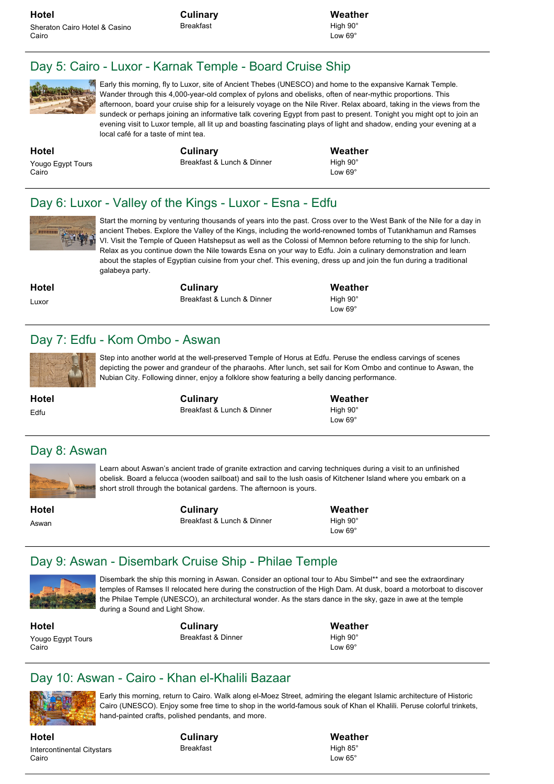**Culinary** Breakfast

**Weather** High 90° Low 69°

#### Day 5: Cairo - Luxor - Karnak Temple - Board Cruise Ship



Early this morning, fly to Luxor, site of Ancient Thebes (UNESCO) and home to the expansive Karnak Temple. Wander through this 4,000-year-old complex of pylons and obelisks, often of near-mythic proportions. This afternoon, board your cruise ship for a leisurely voyage on the Nile River. Relax aboard, taking in the views from the sundeck or perhaps joining an informative talk covering Egypt from past to present. Tonight you might opt to join an evening visit to Luxor temple, all lit up and boasting fascinating plays of light and shadow, ending your evening at a local café for a taste of mint tea.

**Hotel** Yougo Egypt Tours Cairo

**Culinary** Breakfast & Lunch & Dinner **Weather** High 90° Low 69<sup>°</sup>

#### Day 6: Luxor - Valley of the Kings - Luxor - Esna - Edfu



Start the morning by venturing thousands of years into the past. Cross over to the West Bank of the Nile for a day in ancient Thebes. Explore the Valley of the Kings, including the world-renowned tombs of Tutankhamun and Ramses VI. Visit the Temple of Queen Hatshepsut as well as the Colossi of Memnon before returning to the ship for lunch. Relax as you continue down the Nile towards Esna on your way to Edfu. Join a culinary demonstration and learn about the staples of Egyptian cuisine from your chef. This evening, dress up and join the fun during a traditional galabeya party.

**Hotel**

Luxor

**Hotel** Edfu

**Culinary** Breakfast & Lunch & Dinner **Weather**

High 90° Low 69°

#### Day 7: Edfu - Kom Ombo - Aswan



Step into another world at the well-preserved Temple of Horus at Edfu. Peruse the endless carvings of scenes depicting the power and grandeur of the pharaohs. After lunch, set sail for Kom Ombo and continue to Aswan, the Nubian City. Following dinner, enjoy a folklore show featuring a belly dancing performance.

> **Culinary** Breakfast & Lunch & Dinner

**Weather** High 90° Low 69°

#### Day 8: Aswan



Learn about Aswan's ancient trade of granite extraction and carving techniques during a visit to an unfinished obelisk. Board a felucca (wooden sailboat) and sail to the lush oasis of Kitchener Island where you embark on a short stroll through the botanical gardens. The afternoon is yours.

**Hotel** Aswan

**Culinary** Breakfast & Lunch & Dinner **Weather** High 90° Low 69<sup>°</sup>

# Day 9: Aswan - Disembark Cruise Ship - Philae Temple



Disembark the ship this morning in Aswan. Consider an optional tour to Abu Simbel\*\* and see the extraordinary temples of Ramses II relocated here during the construction of the High Dam. At dusk, board a motorboat to discover the Philae Temple (UNESCO), an architectural wonder. As the stars dance in the sky, gaze in awe at the temple during a Sound and Light Show.

**Hotel** Yougo Egypt Tours Cairo

**Culinary** Breakfast & Dinner

**Weather** High 90° Low 69<sup>c</sup>

# Day 10: Aswan - Cairo - Khan el-Khalili Bazaar



Early this morning, return to Cairo. Walk along el-Moez Street, admiring the elegant Islamic architecture of Historic Cairo (UNESCO). Enjoy some free time to shop in the world-famous souk of Khan el Khalili. Peruse colorful trinkets, hand-painted crafts, polished pendants, and more.

**Hotel** Intercontinental Citystars Cairo

**Culinary** Breakfast

**Weather** High 85° Low 65°